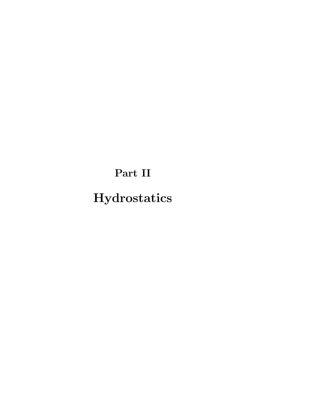Part II

Hydrostatics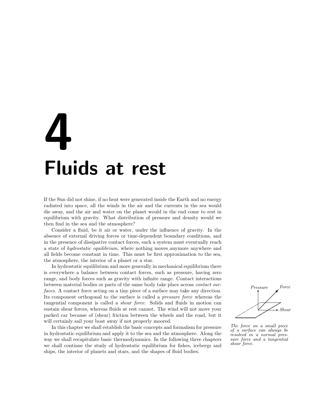# 4 Fluids at rest

If the Sun did not shine, if no heat were generated inside the Earth and no energy radiated into space, all the winds in the air and the currents in the sea would die away, and the air and water on the planet would in the end come to rest in equilibrium with gravity. What distribution of pressure and density would we then find in the sea and the atmosphere?

Consider a fluid, be it air or water, under the influence of gravity. In the absence of external driving forces or time-dependent boundary conditions, and in the presence of dissipative contact forces, such a system must eventually reach a state of hydrostatic equilibrium, where nothing moves anymore anywhere and all fields become constant in time. This must be first approximation to the sea, the atmosphere, the interior of a planet or a star.

In hydrostatic equilibrium and more generally in mechanical equilibrium there is everywhere a balance between contact forces, such as pressure, having zero range, and body forces such as gravity with infinite range. Contact interactions between material bodies or parts of the same body take place across contact surfaces. A contact force acting on a tiny piece of a surface may take any direction. Its component orthogonal to the surface is called a pressure force whereas the tangential component is called a shear force. Solids and fluids in motion can sustain shear forces, whereas fluids at rest cannot. The wind will not move your parked car because of (shear) friction between the wheels and the road, but it will certainly sail your boat away if not properly moored.

In this chapter we shall establish the basic concepts and formalism for pressure in hydrostatic equilibrium and apply it to the sea and the atmosphere. Along the way we shall recapitulate basic thermodynamics. In the following three chapters we shall continue the study of hydrostatic equilibrium for fishes, icebergs and ships, the interior of planets and stars, and the shapes of fluid bodies.



The force on a small piece of a surface can always be resolved in a normal pressure force and a tangential shear force.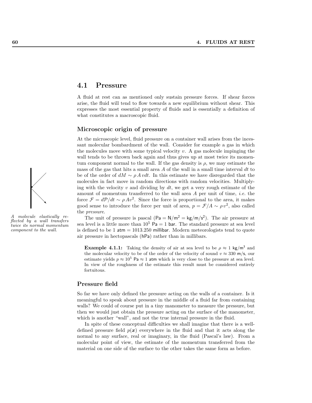# 4.1 Pressure

A fluid at rest can as mentioned only sustain pressure forces. If shear forces arise, the fluid will tend to flow towards a new equilibrium without shear. This expresses the most essential property of fluids and is essentially a definition of what constitutes a macroscopic fluid.

#### Microscopic origin of pressure

At the microscopic level, fluid pressure on a container wall arises from the incessant molecular bombardment of the wall. Consider for example a gas in which the molecules move with some typical velocity  $v$ . A gas molecule impinging the wall tends to be thrown back again and thus gives up at most twice its momentum component normal to the wall. If the gas density is  $\rho$ , we may estimate the mass of the gas that hits a small area A of the wall in a small time interval  $dt$  to be of the order of  $dM \sim \rho A v dt$ . In this estimate we have disregarded that the molecules in fact move in random directions with random velocities. Multiplying with the velocity  $v$  and dividing by  $dt$ , we get a very rough estimate of the amount of momentum transferred to the wall area A per unit of time, i.e. the force  $\mathcal{F} = d\mathcal{P}/dt \sim \rho A v^2$ . Since the force is proportional to the area, it makes good sense to introduce the force per unit of area,  $p = \mathcal{F}/A \sim \rho v^2$ , also called the pressure.

The unit of pressure is pascal  $(\text{Pa} = \text{N/m}^2 = \text{kg/m/s}^2)$ . The air pressure at sea level is a little more than  $10^5$  Pa = 1 bar. The standard pressure at sea level is defined to be 1  $atm = 1013.250$  millibar. Modern meteorologists tend to quote air pressure in hectopascals (hPa) rather than in millibars.

**Example 4.1.1:** Taking the density of air at sea level to be  $\rho \approx 1 \text{ kg/m}^3$  and the molecular velocity to be of the order of the velocity of sound  $v \approx 330$  m/s, our estimate yields  $p \approx 10^5$  Pa  $\approx 1$  atm which is very close to the pressure at sea level. In view of the roughness of the estimate this result must be considered entirely fortuitous.

#### Pressure field

So far we have only defined the pressure acting on the walls of a container. Is it meaningful to speak about pressure in the middle of a fluid far from containing walls? We could of course put in a tiny manometer to measure the pressure, but then we would just obtain the pressure acting on the surface of the manometer, which is another "wall", and not the true internal pressure in the fluid.

In spite of these conceptual difficulties we shall imagine that there is a welldefined pressure field  $p(x)$  everywhere in the fluid and that it acts along the normal to any surface, real or imaginary, in the fluid (Pascal's law). From a molecular point of view, the estimate of the momentum transferred from the material on one side of the surface to the other takes the same form as before.



A molecule elastically reflected by a wall transfers twice its normal momentum component to the wall.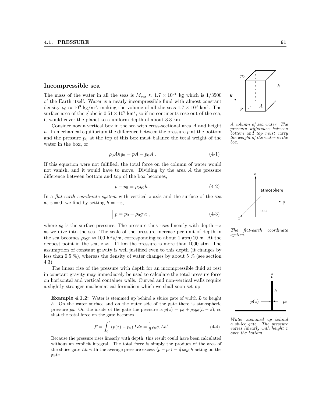#### Incompressible sea

The mass of the water in all the seas is  $M_{\rm sea} \approx 1.7 \times 10^{21}$  kg which is 1/3500 of the Earth itself. Water is a nearly incompressible fluid with almost constant density  $\rho_0 \approx 10^3 \text{ kg/m}^3$ , making the volume of all the seas  $1.7 \times 10^9 \text{ km}^3$ . The surface area of the globe is  $0.51 \times 10^9$  km<sup>2</sup>, so if no continents rose out of the sea, it would cover the planet to a uniform depth of about 3.3 km.

Consider now a vertical box in the sea with cross-sectional area A and height h. In mechanical equilibrium the difference between the pressure  $p$  at the bottom and the pressure  $p_0$  at the top of this box must balance the total weight of the water in the box, or

$$
\rho_0 A h g_0 = pA - p_0 A . \qquad (4-1)
$$

If this equation were not fulfilled, the total force on the column of water would not vanish, and it would have to move. Dividing by the area A the pressure difference between bottom and top of the box becomes,

$$
p - p_0 = \rho_0 g_0 h \tag{4-2}
$$

In a *flat-earth coordinate system* with vertical  $z$ -axis and the surface of the sea at  $z = 0$ , we find by setting  $h = -z$ ,

$$
p = p_0 - \rho_0 g_0 z \t{4.3}
$$

where  $p_0$  is the surface pressure. The pressure thus rises linearly with depth  $-z$ as we dive into the sea. The scale of the pressure increase per unit of depth in  $\frac{The \ f}{system}$ . the sea becomes  $\rho_0 q_0 \approx 100$  hPa/m, corresponding to about 1 atm/10 m. At the deepest point in the sea,  $z \approx -11$  km the pressure is more than 1000 atm. The assumption of constant gravity is well justified even to this depth (it changes by less than 0.5 %), whereas the density of water changes by about 5 % (see section 4.3).

The linear rise of the pressure with depth for an incompressible fluid at rest in constant gravity may immediately be used to calculate the total pressure force on horizontal and vertical container walls. Curved and non-vertical walls require a slightly stronger mathematical formalism which we shall soon set up.

**Example 4.1.2:** Water is stemmed up behind a sluice gate of width  $L$  to height h. On the water surface and on the outer side of the gate there is atmospheric pressure p<sub>0</sub>. On the inside of the gate the pressure is  $p(z) = p_0 + \rho_0 g_0(h - z)$ , so that the total force on the gate becomes

$$
\mathcal{F} = \int_0^h (p(z) - p_0) L dz = \frac{1}{2} \rho_0 g_0 L h^2 \,. \tag{4-4}
$$

Because the pressure rises linearly with depth, this result could have been calculated without an explicit integral. The total force is simply the product of the area of the sluice gate Lh with the average pressure excess  $\langle p - p_0 \rangle = \frac{1}{2} \rho_0 g_0 h$  acting on the gate.



A column of sea water. The pressure difference between bottom and top must carry the weight of the water in the box.



The flat-earth coordinate



Water stemmed up behind a sluice gate. The pressure varies linearly with height z over the bottom.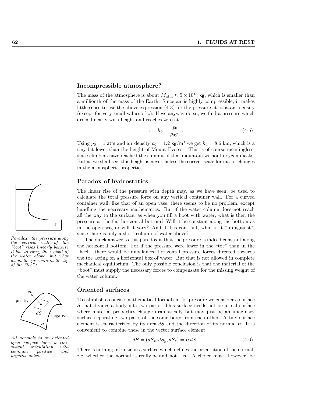#### Incompressible atmosphere?

The mass of the atmosphere is about  $M_{\text{atm}} \approx 5 \times 10^{18}$  kg, which is smaller than a millionth of the mass of the Earth. Since air is highly compressible, it makes little sense to use the above expression (4-3) for the pressure at constant density (except for very small values of  $z$ ). If we anyway do so, we find a pressure which drops linearly with height and reaches zero at

$$
z = h_0 = \frac{p_0}{\rho_0 g_0} \tag{4-5}
$$

Using  $p_0 = 1$  atm and air density  $\rho_0 = 1.2 \text{ kg/m}^3$  we get  $h_0 = 8.6 \text{ km}$ , which is a tiny bit lower than the height of Mount Everest. This is of course meaningless, since climbers have reached the summit of that mountain without oxygen masks. But as we shall see, this height is nevertheless the correct scale for major changes in the atmospheric properties.

## Paradox of hydrostatics

The linear rise of the pressure with depth may, as we have seen, be used to calculate the total pressure force on any vertical container wall. For a curved container wall, like that of an open vase, there seems to be no problem, except handling the necessary mathematics. But if the water column does not reach all the way to the surface, as when you fill a boot with water, what is then the pressure at the flat horizontal bottom? Will it be constant along the bottom as in the open sea, or will it vary? And if it is constant, what is it "up against", since there is only a short column of water above?

The quick answer to this paradox is that the pressure is indeed constant along the horizontal bottom. For if the pressure were lower in the "toe" than in the "heel", there would be unbalanced horizontal pressure forces directed towards the toe acting on a horizontal box of water. But that is not allowed in complete mechanical equilibrium. The only possible conclusion is that the material of the "boot" must supply the necessary forces to compensate for the missing weight of the water column.

## Oriented surfaces

To establish a concise mathematical formalism for pressure we consider a surface S that divides a body into two parts. This surface needs not be a real surface where material properties change dramatically but may just be an imaginary surface separating two parts of the same body from each other. A tiny surface element is characterized by its area  $dS$  and the direction of its normal  $n$ . It is convenient to combine these in the vector surface element

$$
d\mathbf{S} = (dS_x, dS_y, dS_z) = \mathbf{n} \, dS \tag{4-6}
$$

There is nothing intrinsic in a surface which defines the orientation of the normal, *i.e.* whether the normal is really  $n$  and not  $-n$ . A choice must, however, be



the vertical wall of the "boot" rises linearly because it has to carry the weight of the water above, but what about the pressure in the tip of the "toe"?



All normals to an oriented open surface have a con $sistent$  orientation common positive and negative sides.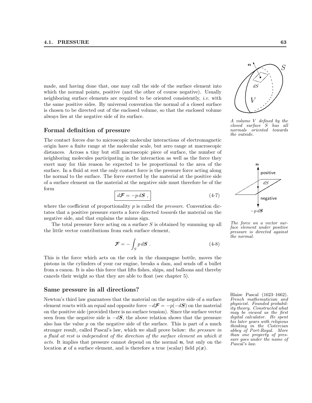made, and having done that, one may call the side of the surface element into which the normal points, positive (and the other of course negative). Usually neighboring surface elements are required to be oriented consistently, *i.e.* with the same positive sides. By universal convention the normal of a closed surface is chosen to be directed out of the enclosed volume, so that the enclosed volume always lies at the negative side of its surface.

#### Formal definition of pressure

The contact forces due to microscopic molecular interactions of electromagnetic origin have a finite range at the molecular scale, but zero range at macroscopic distances. Across a tiny but still macroscopic piece of surface, the number of neighboring molecules participating in the interaction as well as the force they exert may for this reason be expected to be proportional to the area of the surface. In a fluid at rest the only contact force is the pressure force acting along the normal to the surface. The force exerted by the material at the positive side of a surface element on the material at the negative side must therefore be of the form

$$
d\mathcal{F} = -p d\mathcal{S} , \qquad (4-7)
$$

where the coefficient of proportionality  $p$  is called the *pressure*. Convention dictates that a positive pressure exerts a force directed towards the material on the negative side, and that explains the minus sign.

The total pressure force acting on a surface S is obtained by summing up all the little vector contributions from each surface element,

$$
\mathcal{F} = -\int_{S} p \, d\mathbf{S} \; . \tag{4-8}
$$

This is the force which acts on the cork in the champagne bottle, moves the pistons in the cylinders of your car engine, breaks a dam, and sends off a bullet from a canon. It is also this force that lifts fishes, ships, and balloons and thereby cancels their weight so that they are able to float (see chapter 5).

#### Same pressure in all directions?

Newton's third law guarantees that the material on the negative side of a surface element reacts with an equal and opposite force  $-d\mathcal{F} = -p(-dS)$  on the material on the positive side (provided there is no surface tension). Since the surface vector seen from the negative side is  $-dS$ , the above relation shows that the pressure also has the value  $p$  on the negative side of the surface. This is part of a much stronger result, called Pascal's law, which we shall prove below: the pressure in a fluid at rest is independent of the direction of the surface element on which it acts. It implies that pressure cannot depend on the normal  $n$ , but only on the location x of a surface element, and is therefore a true (scalar) field  $p(x)$ .



A volume V defined by the closed surface S has all normals oriented towards the outside.



The force on a vector surface element under positive pressure is directed against the normal.

Blaise Pascal (1623–1662). French mathematician and physicist. Founded probability theory. Constructed what may be viewed as the first digital calculator. He spent his later years with religious thinking in the Cistercian abbey of Port-Royal. More than one property of pressure goes under the name of Pascal's law.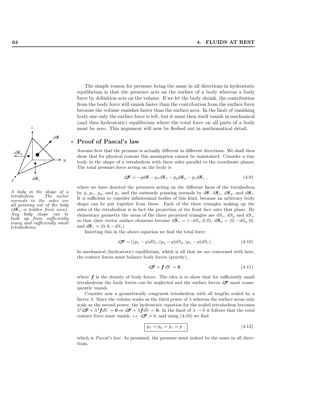

A body in the shape of a  $tetrahedron.$ normals to the sides are all pointing out of the body  $(d\mathbf{S}_x$  is hidden from view). Any body shape can be built up from sufficiently many and sufficiently small tetrahedrons.

The simple reason for pressure being the same in all directions in hydrostatic equilibrium is that the pressure acts on the surface of a body whereas a body force by definition acts on the volume. If we let the body shrink, the contribution from the body force will vanish faster than the contribution from the surface force because the volume vanishes faster than the surface area. In the limit of vanishing body size only the surface force is left, but it must then itself vanish in mechanical (and thus hydrostatic) equilibrium where the total force on all parts of a body must be zero. This argument will now be fleshed out in mathematical detail.

### Proof of Pascal's law

Assume first that the pressure is actually different in different directions. We shall then show that for physical reasons this assumption cannot be maintained. Consider a tiny body in the shape of a tetrahedron with three sides parallel to the coordinate planes. The total pressure force acting on the body is

$$
d\mathcal{F} = -pd\mathbf{S} - p_x d\mathbf{S}_x - p_y d\mathbf{S}_y - p_z d\mathbf{S}_z , \qquad (4-9)
$$

where we have denoted the pressures acting on the different faces of the tetrahedron by p,  $p_x$ ,  $p_y$ , and  $p_z$  and the outwards pointing normals by  $d\mathbf{S}$ ,  $d\mathbf{S}_x$ ,  $d\mathbf{S}_y$ , and  $d\mathbf{S}_z$ . It is sufficient to consider infinitesimal bodies of this kind, because an arbitrary body shape can be put together from these. Each of the three triangles making up the sides of the tetrahedron is in fact the projection of the front face onto that plane. By elementary geometry the areas of the three projected triangles are  $dS_x$ ,  $dS_y$  and  $dS_z$ , so that their vector surface elements become  $d\mathbf{S}_x = (-dS_x, 0, 0), d\mathbf{S}_y = (0, -dS_y, 0),$ and  $d\mathbf{S}_z = (0, 0, -dS_z)$ .

Inserting this in the above equation we find the total force

$$
d\mathcal{F} = ((p_x - p) dS_x, (p_y - p) dS_y, (p_z - p) dS_z) . \qquad (4-10)
$$

In mechanical (hydrostatic) equilibrium, which is all that we are concerned with here, the contact forces must balance body forces (gravity),

$$
d\mathcal{F} + f dV = \mathbf{0} \tag{4-11}
$$

where  $f$  is the density of body forces. The idea is to show that for sufficiently small tetrahedrons the body forces can be neglected and the surface forces  $d\mathcal{F}$  must consequently vanish.

Consider now a geometrically congruent tetrahedron with all lengths scaled by a factor  $\lambda$ . Since the volume scales as the third power of  $\lambda$  whereas the surface areas only scale as the second power, the hydrostatic equation for the scaled tetrahedron becomes  $\lambda^2 d\mathcal{F} + \lambda^3 f dV = 0$  or  $d\mathcal{F} + \lambda f dV = 0$ . In the limit of  $\lambda \to 0$  it follows that the total contact force must vanish, *i.e.*  $d\mathcal{F} = 0$ , and using (4-10) we find

$$
p_x = p_y = p_z = p \t{,}
$$
\t(4-12)

which is *Pascal's law*. As promised, the pressure must indeed be the same in all directions.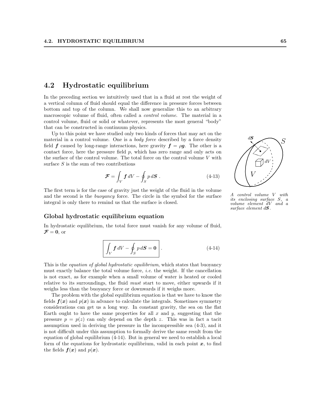# 4.2 Hydrostatic equilibrium

In the preceding section we intuitively used that in a fluid at rest the weight of a vertical column of fluid should equal the difference in pressure forces between bottom and top of the column. We shall now generalize this to an arbitrary macroscopic volume of fluid, often called a control volume. The material in a control volume, fluid or solid or whatever, represents the most general "body" that can be constructed in continuum physics.

Up to this point we have studied only two kinds of forces that may act on the material in a control volume. One is a *body force* described by a force density field f caused by long-range interactions, here gravity  $f = \rho g$ . The other is a contact force, here the pressure field  $p$ , which has zero range and only acts on the surface of the control volume. The total force on the control volume V with surface  $S$  is the sum of two contributions

$$
\mathcal{F} = \int_{V} f \, dV - \oint_{S} p \, d\mathbf{S} \,. \tag{4-13}
$$

The first term is for the case of gravity just the weight of the fluid in the volume and the second is the buoyancy force. The circle in the symbol for the surface integral is only there to remind us that the surface is closed.

#### Global hydrostatic equilibrium equation

In hydrostatic equilibrium, the total force must vanish for any volume of fluid,  $\mathcal{F}=0$ , or

$$
\int_{V} f \, dV - \oint_{S} p \, dS = 0 \quad . \tag{4-14}
$$

This is the *equation of global hydrostatic equilibrium*, which states that buoyancy must exactly balance the total volume force, i.e. the weight. If the cancellation is not exact, as for example when a small volume of water is heated or cooled relative to its surroundings, the fluid must start to move, either upwards if it weighs less than the buoyancy force or downwards if it weighs more.

The problem with the global equilibrium equation is that we have to know the fields  $f(x)$  and  $p(x)$  in advance to calculate the integrals. Sometimes symmetry considerations can get us a long way. In constant gravity, the sea on the flat Earth ought to have the same properties for all  $x$  and  $y$ , suggesting that the pressure  $p = p(z)$  can only depend on the depth z. This was in fact a tacit assumption used in deriving the pressure in the incompressible sea (4-3), and it is not difficult under this assumption to formally derive the same result from the equation of global equilibrium (4-14). But in general we need to establish a local form of the equations for hydrostatic equilibrium, valid in each point  $x$ , to find the fields  $f(x)$  and  $p(x)$ .



A control volume V with its enclosing surface S, a volume element dV and a surface element  $d\mathbf{S}$ .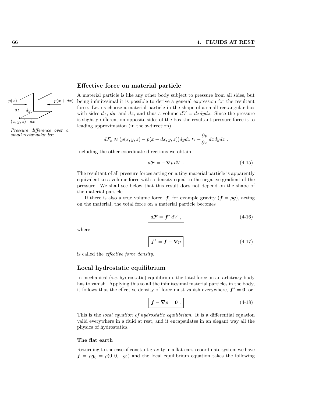

Pressure difference over a small rectangular box.

### Effective force on material particle

A material particle is like any other body subject to pressure from all sides, but being infinitesimal it is possible to derive a general expression for the resultant force. Let us choose a material particle in the shape of a small rectangular box with sides dx, dy, and dz, and thus a volume  $dV = dxdydz$ . Since the pressure is slightly different on opposite sides of the box the resultant pressure force is to leading approximation (in the  $x$ -direction)

$$
d\mathcal{F}_x \approx (p(x,y,z) - p(x+dx,y,z))dydz \approx -\frac{\partial p}{\partial x} dx dydz.
$$

Including the other coordinate directions we obtain

$$
d\mathcal{F} = -\nabla p \, dV \,. \tag{4-15}
$$

The resultant of all pressure forces acting on a tiny material particle is apparently equivalent to a volume force with a density equal to the negative gradient of the pressure. We shall see below that this result does not depend on the shape of the material particle.

If there is also a true volume force,  $f$ , for example gravity  $(f = \rho g)$ , acting on the material, the total force on a material particle becomes

$$
d\mathcal{F} = \mathbf{f}^* dV , \qquad (4-16)
$$

where

$$
f^* = f - \nabla p \tag{4-17}
$$

is called the effective force density.

#### Local hydrostatic equilibrium

In mechanical *(i.e.* hydrostatic) equilibrium, the total force on an arbitrary body has to vanish. Applying this to all the infinitesimal material particles in the body, it follows that the effective density of force must vanish everywhere,  $f^* = 0$ , or

$$
f - \nabla p = 0.
$$
 (4-18)

This is the *local equation of hydrostatic equilibrium*. It is a differential equation valid everywhere in a fluid at rest, and it encapsulates in an elegant way all the physics of hydrostatics.

#### The flat earth

Returning to the case of constant gravity in a flat-earth coordinate system we have  $f = \rho g_0 = \rho(0, 0, -g_0)$  and the local equilibrium equation takes the following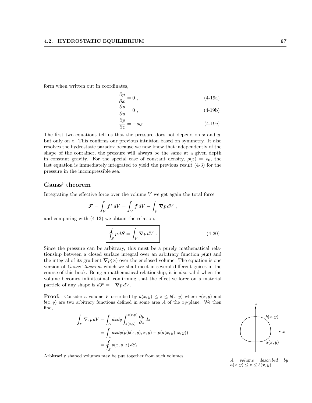form when written out in coordinates,

$$
\frac{\partial p}{\partial x} = 0 \tag{4-19a}
$$

$$
\frac{\partial p}{\partial y} = 0 \tag{4-19b}
$$

$$
\frac{\partial p}{\partial z} = -\rho g_0 \tag{4-19c}
$$

The first two equations tell us that the pressure does not depend on  $x$  and  $y$ , but only on z. This confirms our previous intuition based on symmetry. It also resolves the hydrostatic paradox because we now know that independently of the shape of the container, the pressure will always be the same at a given depth in constant gravity. For the special case of constant density,  $\rho(z) = \rho_0$ , the last equation is immediately integrated to yield the previous result (4-3) for the pressure in the incompressible sea.

# Gauss' theorem

Integrating the effective force over the volume  $V$  we get again the total force

$$
\mathcal{F} = \int_V f^* dV = \int_V f dV - \int_V \nabla p dV,
$$

and comparing with (4-13) we obtain the relation,

$$
\oint_{S} p \, d\mathbf{S} = \int_{V} \mathbf{\nabla} p \, dV \ . \tag{4-20}
$$

Since the pressure can be arbitrary, this must be a purely mathematical relationship between a closed surface integral over an arbitrary function  $p(x)$  and the integral of its gradient  $\nabla p(x)$  over the enclosed volume. The equation is one version of Gauss' theorem which we shall meet in several different guises in the course of this book. Being a mathematical relationship, it is also valid when the volume becomes infinitesimal, confirming that the effective force on a material particle of any shape is  $d\mathcal{F} = -\nabla p \, dV$ .

**Proof:** Consider a volume V described by  $a(x, y) \leq z \leq b(x, y)$  where  $a(x, y)$  and  $b(x, y)$  are two arbitrary functions defined in some area A of the xy-plane. We then find,

$$
\int_{V} \nabla_{z} p \, dV = \int_{A} dx dy \int_{a(x,y)}^{b(x,y)} \frac{\partial p}{\partial z} \, dz
$$
\n
$$
= \int_{A} dx dy (p(b(x,y),x,y) - p(a(x,y),x,y))
$$
\n
$$
= \oint_{S} p(x,y,z) \, dS_{z} .
$$

Arbitrarily shaped volumes may be put together from such volumes.



A volume described by  $a(x, y) \leq z \leq b(x, y).$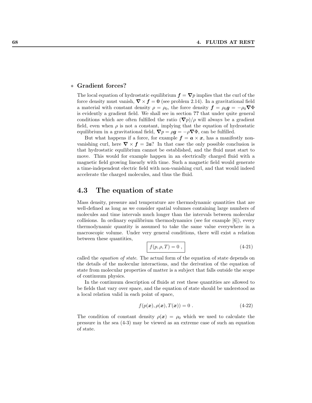#### ∗ Gradient forces?

The local equation of hydrostatic equilibrium  $f = \nabla p$  implies that the curl of the force density must vanish,  $\nabla \times f = 0$  (see problem 2.14). In a gravitational field a material with constant density  $\rho = \rho_0$ , the force density  $\mathbf{f} = \rho_0 \mathbf{g} = -\rho_0 \nabla \Phi$ is evidently a gradient field. We shall see in section ?? that under quite general conditions which are often fulfilled the ratio  $(\nabla p)/\rho$  will always be a gradient field, even when  $\rho$  is not a constant, implying that the equation of hydrostatic equilibrium in a gravitational field,  $\nabla p = \rho g = -\rho \nabla \Phi$ , can be fulfilled.

But what happens if a force, for example  $f = a \times x$ , has a manifestly nonvanishing curl, here  $\nabla \times f = 2a$ ? In that case the only possible conclusion is that hydrostatic equilibrium cannot be established, and the fluid must start to move. This would for example happen in an electrically charged fluid with a magnetic field growing linearly with time. Such a magnetic field would generate a time-independent electric field with non-vanishing curl, and that would indeed accelerate the charged molecules, and thus the fluid.

# 4.3 The equation of state

Mass density, pressure and temperature are thermodynamic quantities that are well-defined as long as we consider spatial volumes containing large numbers of molecules and time intervals much longer than the intervals between molecular collisions. In ordinary equilibrium thermodynamics (see for example [6]), every thermodynamic quantity is assumed to take the same value everywhere in a macroscopic volume. Under very general conditions, there will exist a relation between these quantities,

$$
f(p, \rho, T) = 0 \tag{4-21}
$$

called the equation of state. The actual form of the equation of state depends on the details of the molecular interactions, and the derivation of the equation of state from molecular properties of matter is a subject that falls outside the scope of continuum physics.

In the continuum description of fluids at rest these quantities are allowed to be fields that vary over space, and the equation of state should be understood as a local relation valid in each point of space,

$$
f(p(x), \rho(x), T(x)) = 0.
$$
 (4-22)

The condition of constant density  $\rho(x) = \rho_0$  which we used to calculate the pressure in the sea (4-3) may be viewed as an extreme case of such an equation of state.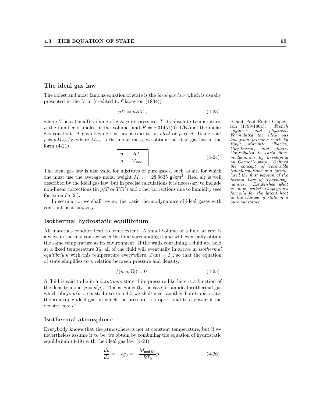## The ideal gas law

The oldest and most famous equation of state is the *ideal gas law*, which is usually presented in the form (credited to Clapeyron (1834))

$$
pV = nRT , \t\t(4-23)
$$

where V is a (small) volume of gas, p its pressure, T its absolute temperature, Benoit Paul Émile Clapeyn the number of moles in the volume, and  $R = 8.31451(6)$  J/K/mol the molar gas constant. A gas obeying this law is said to be ideal or perfect. Using that  $\rho = nM_{\text{mol}}/V$  where  $M_{\text{mol}}$  is the molar mass, we obtain the ideal gas law in the form (4-21),

$$
\frac{p}{\rho} = \frac{RT}{M_{\text{mol}}} \tag{4-24}
$$

The ideal gas law is also valid for mixtures of pure gases, such as air, for which one must use the average molar weight  $M_{\text{air}} = 28.9635 \text{ g/cm}^3$ . Real air is well described by the ideal gas law, but in precise calculations it is necessary to include non-linear corrections (in  $p/T$  or  $T/V$ ) and other corrections due to humidity (see for example [2]).

In section 4.5 we shall review the basic thermodynamics of ideal gases with constant heat capacity.

## Isothermal hydrostatic equilibrium

All materials conduct heat to some extent. A small volume of a fluid at rest is always in thermal contact with the fluid surrounding it and will eventually obtain the same temperature as its environment. If the walls containing a fluid are held at a fixed temperature  $T_0$ , all of the fluid will eventually in arrive in *isothermal* equilibrium with this temperature everywhere,  $T(x) = T_0$ , so that the equation of state simplifies to a relation between pressure and density,

$$
f(p, \rho, T_0) = 0.
$$
 (4-25)

A fluid is said to be in a barotropic state if its pressure like here is a function of the density alone,  $p = p(\rho)$ . This is evidently the case for an ideal isothermal gas which obeys  $p/\rho = \text{const.}$  In section 4.5 we shall meet another barotropic state, the isentropic ideal gas, in which the pressure is proportional to a power of the density,  $p \propto \rho^{\gamma}$ .

#### Isothermal atmosphere

Everybody knows that the atmosphere is not at constant temperature, but if we nevertheless assume it to be, we obtain by combining the equation of hydrostatic equilibrium (4-19) with the ideal gas law (4-24)

$$
\frac{dp}{dz} = -\rho g_0 = -\frac{M_{\text{mol}} g_0}{RT_0} p \tag{4-26}
$$

ron (1799-1864). French engineer and physicist. Formulated the ideal gas law from previous work by Boyle, Mariotte, Charles, Gay-Lussac, and others. Contributed to early thermodynamics by developing on Carnot's work. Defined the concept of reversible transformations and formulated the first version of the Second Law of Thermodynamics. Established what is now called Clapeyron's formula for the latent heat in the change of state of a pure substance.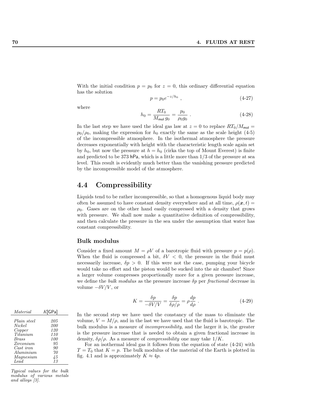With the initial condition  $p = p_0$  for  $z = 0$ , this ordinary differential equation has the solution

$$
p = p_0 e^{-z/h_0} \t{4-27}
$$

where

$$
h_0 = \frac{RT_0}{M_{\text{mol}}g_0} = \frac{p_0}{\rho_0 g_0} \tag{4-28}
$$

In the last step we have used the ideal gas law at  $z = 0$  to replace  $RT_0/M_{\text{mol}} =$  $p_0/\rho_0$ , making the expression for  $h_0$  exactly the same as the scale height (4-5) of the incompressible atmosphere. In the isothermal atmosphere the pressure decreases exponentially with height with the characteristic length scale again set by  $h_0$ , but now the pressure at  $h = h_0$  (cirka the top of Mount Everest) is finite and predicted to be 373 hPa, which is a little more than  $1/3$  of the pressure at sea level. This result is evidently much better than the vanishing pressure predicted by the incompressible model of the atmosphere.

# 4.4 Compressibility

Liquids tend to be rather incompressible, so that a homogenous liquid body may often be assumed to have constant density everywhere and at all time,  $\rho(\mathbf{x}, t) =$  $\rho_0$ . Gases are on the other hand easily compressed with a density that grows with pressure. We shall now make a quantitative definition of compressibility, and then calculate the pressure in the sea under the assumption that water has constant compressibility.

#### Bulk modulus

Consider a fixed amount  $M = \rho V$  of a barotropic fluid with pressure  $p = p(\rho)$ . When the fluid is compressed a bit,  $\delta V < 0$ , the pressure in the fluid must necessarily increase,  $\delta p > 0$ . If this were not the case, pumping your bicycle would take no effort and the piston would be sucked into the air chamber! Since a larger volume compresses proportionally more for a given pressure increase, we define the *bulk modulus* as the pressure increase  $\delta p$  per *fractional* decrease in volume  $-\delta V/V$ , or

$$
K = \frac{\delta p}{-\delta V/V} = \frac{\delta p}{\delta \rho/\rho} = \rho \frac{dp}{d\rho} \,. \tag{4-29}
$$

| In the second step we have used the constancy of the mass to eliminate the                  |
|---------------------------------------------------------------------------------------------|
| volume, $V = M/\rho$ , and in the last we have used that the fluid is barotropic. The       |
| bulk modulus is a measure of <i>incompressibility</i> , and the larger it is, the greater   |
| is the pressure increase that is needed to obtain a given fractional increase in            |
| density, $\delta \rho / \rho$ . As a measure of <i>compressibility</i> one may take $1/K$ . |

For an isothermal ideal gas it follows from the equation of state (4-24) with  $T = T_0$  that  $K = p$ . The bulk modulus of the material of the Earth is plotted in fig. 4.1 and is approximately  $K \approx 4p$ .

| Material               | $K$ [GPa] |
|------------------------|-----------|
| Plain steel            | 205       |
| Nickel                 | 200       |
| Copper                 | 120       |
| Titanium               | 110       |
| <b>Brass</b>           | 100       |
| Zirconium              | 95        |
| Cast iron<br>Aluminium | 90<br>70  |
| Magnesium              | 45        |
| Lead                   | 13        |

Typical values for the bulk modulus of various metals and alloys [3].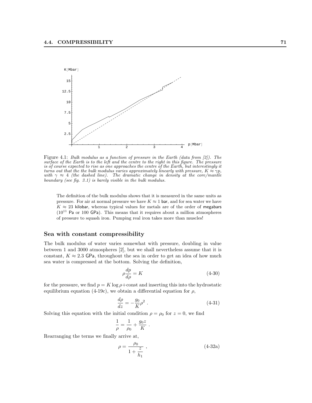

Figure 4.1: Bulk modulus as a function of pressure in the Earth (data from [2]). The surface of the Earth is to the left and the centre to the right in this figure. The pressure is of course expected to rise as one approaches the centre of the Earth, but interestingly it turns out that the the bulk modulus varies approximately linearly with pressure,  $K \approx \gamma p$ , with  $\gamma \approx 4$  (the dashed line). The dramatic change in density at the core/mantle boundary (see fig. 3.1) is barely visible in the bulk modulus.

The definition of the bulk modulus shows that it is measured in the same units as pressure. For air at normal pressure we have  $K \approx 1$  bar, and for sea water we have  $K \approx 23$  kilobar, whereas typical values for metals are of the order of megabars  $(10^{11}$  Pa or 100 GPa). This means that it requires about a million atmospheres of pressure to squash iron. Pumping real iron takes more than muscles!

## Sea with constant compressibility

The bulk modulus of water varies somewhat with pressure, doubling in value between 1 and 3000 atmospheres [2], but we shall nevertheless assume that it is constant,  $K \approx 2.3$  GPa, throughout the sea in order to get an idea of how much sea water is compressed at the bottom. Solving the definition,

$$
\rho \frac{dp}{d\rho} = K \tag{4-30}
$$

for the pressure, we find  $p = K \log \rho + \text{const}$  and inserting this into the hydrostatic equilibrium equation (4-19c), we obtain a differential equation for  $\rho$ ,

$$
\frac{d\rho}{dz} = -\frac{g_0}{K}\rho^2 \tag{4-31}
$$

Solving this equation with the initial condition  $\rho = \rho_0$  for  $z = 0$ , we find

$$
\frac{1}{\rho} = \frac{1}{\rho_0} + \frac{g_0 z}{K} .
$$

Rearranging the terms we finally arrive at,

$$
\rho = \frac{\rho_0}{1 + \frac{z}{h_1}} \,,\tag{4-32a}
$$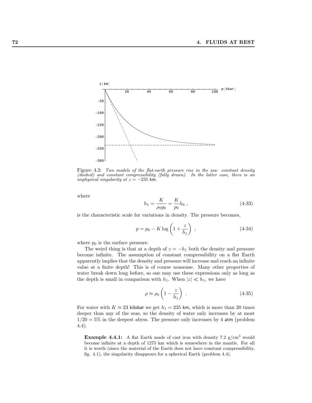

Figure 4.2: Two models of the flat-earth pressure rise in the sea: constant density (dashed) and constant compressibility (fully drawn). In the latter case, there is an unphysical singularity at  $z = -235$  km.

where

$$
h_1 = \frac{K}{\rho_0 g_0} = \frac{K}{p_0} h_0 , \qquad (4-33)
$$

is the characteristic scale for variations in density. The pressure becomes,

$$
p = p_0 - K \log \left( 1 + \frac{z}{h_1} \right) , \qquad (4-34)
$$

where  $p_0$  is the surface pressure.

The weird thing is that at a depth of  $z = -h_1$  both the density and pressure become infinite. The assumption of constant compressibility on a flat Earth apparently implies that the density and pressure will increase and reach an infinite value at a finite depth! This is of course nonsense. Many other properties of water break down long before, so one may use these expressions only as long as the depth is small in comparison with  $h_1$ . When  $|z| \ll h_1$ , we have

$$
\rho \approx \rho_0 \left( 1 - \frac{z}{h_1} \right) \tag{4-35}
$$

For water with  $K \approx 23$  kilobar we get  $h_1 = 235$  km, which is more than 20 times deeper than any of the seas, so the density of water only increases by at most  $1/20 = 5\%$  in the deepest abyss. The pressure only increases by 4 atm (problem 4.4).

**Example 4.4.1:** A flat Earth made of cast iron with density 7.2  $g/cm^3$  would become infinite at a depth of 1275 km which is somewhere in the mantle. For all it is worth (since the material of the Earth does not have constant compressibility, fig. 4.1), the singularity disappears for a spherical Earth (problem 4.4).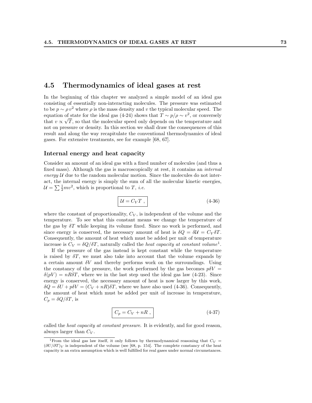# 4.5 Thermodynamics of ideal gases at rest

In the beginning of this chapter we analyzed a simple model of an ideal gas consisting of essentially non-interacting molecules. The pressure was estimated to be  $p \sim \rho v^2$  where  $\rho$  is the mass density and v the typical molecular speed. The equation of state for the ideal gas (4-24) shows that  $T \sim p/\rho \sim v^2$ , or conversely that  $v \propto \sqrt{T}$ , so that the molecular speed only depends on the temperature and not on pressure or density. In this section we shall draw the consequences of this result and along the way recapitulate the conventional thermodynamics of ideal gases. For extensive treatments, see for example [68, 67].

## Internal energy and heat capacity

Consider an amount of an ideal gas with a fixed number of molecules (and thus a fixed mass). Although the gas is macroscopically at rest, it contains an internal energy  $U$  due to the random molecular motion. Since the molecules do not interact, the internal energy is simply the sum of all the molecular kinetic energies, act, the internal energy is simply the sum of  $\mathcal{U} = \sum \frac{1}{2}mv^2$ , which is proportional to T, *i.e.* 

$$
\mathcal{U} = C_V T \;, \tag{4-36}
$$

where the constant of proportionality,  $C_V$ , is independent of the volume and the temperature. To see what this constant means we change the temperature of the gas by  $\delta T$  while keeping its volume fixed. Since no work is performed, and since energy is conserved, the necessary amount of heat is  $\delta Q = \delta U = C_V \delta T$ . Consequently, the amount of heat which must be added per unit of temperature increase is  $C_V = \delta Q/\delta T$ , naturally called the *heat capacity at constant volume*<sup>1</sup>.

If the pressure of the gas instead is kept constant while the temperature is raised by  $\delta T$ , we must also take into account that the volume expands by a certain amount  $\delta V$  and thereby performs work on the surroundings. Using the constancy of the pressure, the work performed by the gas becomes  $p\delta V =$  $\delta(pV) = nR\delta T$ , where we in the last step used the ideal gas law (4-23). Since energy is conserved, the necessary amount of heat is now larger by this work,  $\delta Q = \delta U + p \delta V = (C_V + nR) \delta T$ , where we have also used (4-36). Consequently, the amount of heat which must be added per unit of increase in temperature,  $C_p = \delta Q / \delta T$ , is

$$
C_p = C_V + nR , \t\t(4-37)
$$

called the heat capacity at constant pressure. It is evidently, and for good reason, always larger than  $C_V$ .

<sup>&</sup>lt;sup>1</sup>From the ideal gas law itself, it only follows by thermodynamical reasoning that  $C_V$  =  $(\partial U/\partial T)_V$  is independent of the volume (see [68, p. 154]. The complete constancy of the heat capacity is an extra assumption which is well fulfilled for real gases under normal circumstances.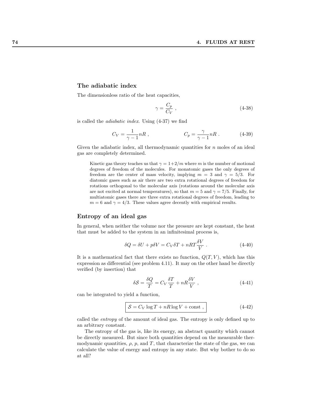#### The adiabatic index

The dimensionless ratio of the heat capacities,

$$
\gamma = \frac{C_p}{C_V} \tag{4-38}
$$

is called the adiabatic index. Using (4-37) we find

$$
C_V = \frac{1}{\gamma - 1} nR , \qquad C_p = \frac{\gamma}{\gamma - 1} nR . \qquad (4-39)
$$

Given the adiabatic index, all thermodynamic quantities for  $n$  moles of an ideal gas are completely determined.

Kinetic gas theory teaches us that  $\gamma = 1+2/m$  where m is the number of motional degrees of freedom of the molecules. For monatomic gases the only degrees of freedom are the center of mass velocity, implying  $m = 3$  and  $\gamma = 5/3$ . For diatomic gases such as air there are two extra rotational degrees of freedom for rotations orthogonal to the molecular axis (rotations around the molecular axis are not excited at normal temperatures), so that  $m = 5$  and  $\gamma = 7/5$ . Finally, for multiatomic gases there are three extra rotational degrees of freedom, leading to  $m = 6$  and  $\gamma = 4/3$ . These values agree decently with empirical results.

## Entropy of an ideal gas

In general, when neither the volume nor the pressure are kept constant, the heat that must be added to the system in an infinitesimal process is,

$$
\delta Q = \delta U + p \delta V = C_V \delta T + nRT \frac{\delta V}{V} . \qquad (4-40)
$$

It is a mathematical fact that there exists no function,  $Q(T, V)$ , which has this expression as differential (see problem 4.11). It may on the other hand be directly verified (by insertion) that

$$
\delta S = \frac{\delta Q}{T} = C_V \frac{\delta T}{T} + nR \frac{\delta V}{V} , \qquad (4-41)
$$

can be integrated to yield a function,

$$
S = C_V \log T + nR \log V + \text{const} , \qquad (4-42)
$$

called the entropy of the amount of ideal gas. The entropy is only defined up to an arbitrary constant.

The entropy of the gas is, like its energy, an abstract quantity which cannot be directly measured. But since both quantities depend on the measurable thermodynamic quantities,  $\rho$ ,  $p$ , and T, that characterize the state of the gas, we can calculate the value of energy and entropy in any state. But why bother to do so at all?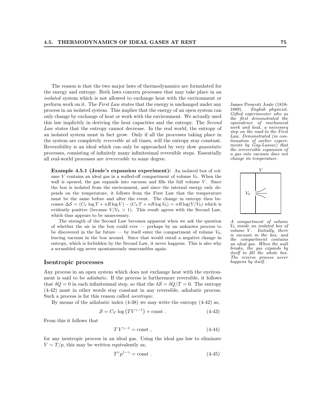The reason is that the two major laws of thermodynamics are formulated for the energy and entropy. Both laws concern processes that may take place in an isolated system which is not allowed to exchange heat with the environment or perform work on it. The First Law states that the energy is unchanged under any James Prescott Joule (1818 process in an isolated system. This implies that the energy of an open system can only change by exchange of heat or work with the environment. We actually used this law implicitly in deriving the heat capacities and the entropy. The Second Law states that the entropy cannot decrease. In the real world, the entropy of an isolated system must in fact grow. Only if all the processes taking place in the system are completely reversible at all times, will the entropy stay constant. Reversibility is an ideal which can only be approached by very slow quasistatic processes, consisting of infinitely many infinitesimal reversible steps. Essentially all real-world processes are irreversible to some degree.

Example 4.5.1 (Joule's expansion experiment): An isolated box of volume  $V$  contains an ideal gas in a walled-off compartment of volume  $V_0$ . When the wall is opened, the gas expands into vacuum and fills the full volume  $V$ . Since the box is isolated from the environment, and since the internal energy only depends on the temperature, it follows from the First Law that the temperature must be the same before and after the event. The change in entropy then becomes  $\Delta S = (C_V \log T + nR \log V) - (C_V T + nR \log V_0) = nR \log(V/V_0)$  which is evidently positive (because  $V/V_0 > 1$ ). This result agrees with the Second Law, which thus appears to be unnecessary.

The strength of the Second Law becomes apparent when we ask the question of whether the air in the box could ever — perhaps by an unknown process to be discovered in the far future — by itself enter the compartment of volume  $V_0$ , leaving vacuum in the box around. Since that would entail a negative change in entropy, which is forbidden by the Second Law, it never happens. This is also why a scrambled egg never spontaneously unscrambles again.

#### Isentropic processes

Any process in an open system which does not exchange heat with the environment is said to be adiabatic. If the process is furthermore reversible, it follows that  $\delta Q = 0$  in each infinitesimal step, so that the  $\delta S = \delta Q/T = 0$ . The entropy (4-42) must in other words stay constant in any reversible, adiabatic process. Such a process is for this reason called isentropic.

By means of the adiabatic index (4-38) we may write the entropy (4-42) as,

$$
S = C_V \log (TV^{\gamma - 1}) + \text{const} \tag{4-43}
$$

From this it follows that

$$
TV^{\gamma - 1} = \text{const} \tag{4-44}
$$

for any isentropic process in an ideal gas. Using the ideal gas law to eliminate  $V \sim T/p$ , this may be written equivalently as,

$$
T^{\gamma}p^{1-\gamma} = \text{const} \tag{4-45}
$$

1889). English physicist. Gifted experimenter who as the first demonstrated the equivalence of mechanical work and heat, a necessary step on the road to the First Law. Demonstrated (in continuation of earlier experiments by  $\ddot{G}ay-Lussac)^{\dagger}$  that the irreversible expansion of a gas into vacuum does not change its temperature.



A compartment of volume V<sup>0</sup> inside an isolated box of volume  $V$ . Initially, there is vacuum in the box, and the compartment contains an ideal gas. When the wall breaks, the gas expands by itself to fill the whole box. The reverse process never happens by itself.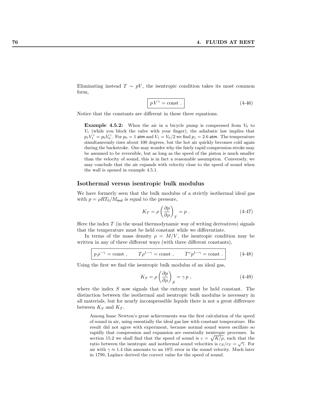Eliminating instead  $T \sim pV$ , the isentropic condition takes its most common form,

$$
pV^{\gamma} = \text{const.}
$$
 (4-46)

Notice that the constants are different in these three equations.

**Example 4.5.2:** When the air in a bicycle pump is compressed from  $V_0$  to  $V_1$  (while you block the valve with your finger), the adiabatic law implies that  $p_1 V_1^{\gamma} = p_0 V_0^{\gamma}$ . For  $p_0 = 1$  atm and  $V_1 = V_0/2$  we find  $p_1 = 2.6$  atm. The temperature simultaneously rises about 100 degrees, but the hot air quickly becomes cold again during the backstroke. One may wonder why the fairly rapid compression stroke may be assumed to be reversible, but as long as the speed of the piston is much smaller than the velocity of sound, this is in fact a reasonable assumption. Conversely, we may conclude that the air expands with velocity close to the speed of sound when the wall is opened in example 4.5.1.

#### Isothermal versus isentropic bulk modulus

We have formerly seen that the bulk modulus of a strictly isothermal ideal gas with  $p = \rho RT_0/M_{\text{mol}}$  is equal to the pressure,

$$
K_T = \rho \left(\frac{\partial p}{\partial \rho}\right)_T = p \tag{4-47}
$$

Here the index  $T$  (in the usual thermodynamic way of writing derivatives) signals that the temperature must be held constant while we differentiate.

In terms of the mass density  $\rho = M/V$ , the isentropic condition may be written in any of three different ways (with three different constants),

$$
p\rho^{-\gamma} = \text{const} , \qquad T\rho^{1-\gamma} = \text{const} , \qquad T^{\gamma}p^{1-\gamma} = \text{const} .
$$
 (4-48)

Using the first we find the isentropic bulk modulus of an ideal gas,

$$
K_S = \rho \left(\frac{\partial p}{\partial \rho}\right)_S = \gamma p \tag{4-49}
$$

where the index  $S$  now signals that the entropy must be held constant. The distinction between the isothermal and isentropic bulk modulus is necessary in all materials, but for nearly incompressible liquids there is not a great difference between  $K_S$  and  $K_T$ .

Among Isaac Newton's great achievements was the first calculation of the speed of sound in air, using essentially the ideal gas law with constant temperature. His result did not agree with experiment, because normal sound waves oscillate so rapidly that compression and expansion are essentially isentropic processes. In section 15.2 we shall find that the speed of sound is  $c = \sqrt{K/\rho}$ , such that the ratio between the isentropic and isothermal sound velocities is  $c_s/c_T = \sqrt{\gamma}$ . For air with  $\gamma \approx 1.4$  this amounts to an 18% error in the sound velocity. Much later in 1799, Laplace derived the correct value for the speed of sound.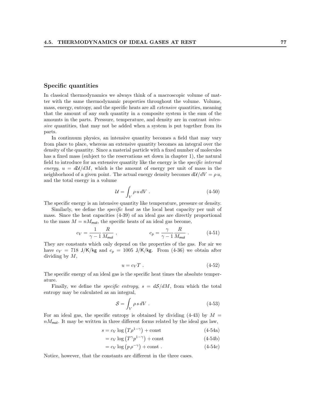### Specific quantities

In classical thermodynamics we always think of a macroscopic volume of matter with the same thermodynamic properties throughout the volume. Volume, mass, energy, entropy, and the specific heats are all extensive quantities, meaning that the amount of any such quantity in a composite system is the sum of the amounts in the parts. Pressure, temperature, and density are in contrast intensive quantities, that may not be added when a system is put together from its parts.

In continuum physics, an intensive quantity becomes a field that may vary from place to place, whereas an extensive quantity becomes an integral over the density of the quantity. Since a material particle with a fixed number of molecules has a fixed mass (subject to the reservations set down in chapter 1), the natural field to introduce for an extensive quantity like the energy is the specific internal energy,  $u = d\mathcal{U}/dM$ , which is the amount of energy per unit of mass in the neighborhood of a given point. The actual energy density becomes  $d\mathcal{U}/dV = \rho u$ , and the total energy in a volume

$$
\mathcal{U} = \int_{V} \rho \, u \, dV \tag{4-50}
$$

The specific energy is an intensive quantity like temperature, pressure or density.

Similarly, we define the *specific heat* as the local heat capacity per unit of mass. Since the heat capacities (4-39) of an ideal gas are directly proportional to the mass  $M = nM_{\text{mol}}$ , the specific heats of an ideal gas become,

$$
c_V = \frac{1}{\gamma - 1} \frac{R}{M_{\text{mol}}}, \qquad c_p = \frac{\gamma}{\gamma - 1} \frac{R}{M_{\text{mol}}} \tag{4-51}
$$

They are constants which only depend on the properties of the gas. For air we have  $c_V = 718 \text{ J/K/kg}$  and  $c_p = 1005 \text{ J/K/kg}$ . From (4-36) we obtain after dividing by M,

$$
u = c_V T \tag{4-52}
$$

The specific energy of an ideal gas is the specific heat times the absolute temperature.

Finally, we define the *specific entropy*,  $s = dS/dM$ , from which the total entropy may be calculated as an integral,

$$
S = \int_{V} \rho s \, dV \,. \tag{4-53}
$$

For an ideal gas, the specific entropy is obtained by dividing  $(4-43)$  by  $M =$  $nM_{\text{mol}}$ . It may be written in three different forms related by the ideal gas law,

$$
s = c_V \log \left( T \rho^{1-\gamma} \right) + \text{const}
$$
\n
$$
(4-54a)
$$
\n
$$
(4-54a)
$$

$$
= c_V \log (T^{\gamma} p^{1-\gamma}) + \text{const}
$$
 (4-54b)

$$
= c_V \log (p \rho^{-\gamma}) + \text{const.}
$$
 (4-54c)

Notice, however, that the constants are different in the three cases.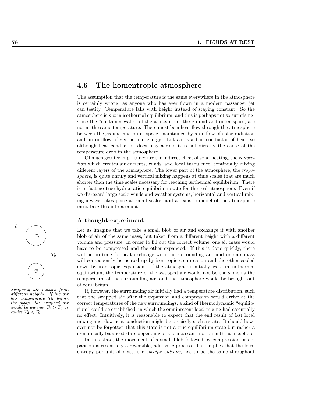

Swapping air masses from different heights. If the air has temperature  $T_0$  before the swap, the swapped air would be warmer  $T_1 > T_0$  or  $\text{colder } T_2 < T_0.$ 

# 4.6 The homentropic atmosphere

The assumption that the temperature is the same everywhere in the atmosphere is certainly wrong, as anyone who has ever flown in a modern passenger jet can testify. Temperature falls with height instead of staying constant. So the atmosphere is not in isothermal equilibrium, and this is perhaps not so surprising, since the "container walls" of the atmosphere, the ground and outer space, are not at the same temperature. There must be a heat flow through the atmosphere between the ground and outer space, maintained by an inflow of solar radiation and an outflow of geothermal energy. But air is a bad conductor of heat, so although heat conduction does play a role, it is not directly the cause of the temperature drop in the atmosphere.

Of much greater importance are the indirect effect of solar heating, the convection which creates air currents, winds, and local turbulence, continually mixing different layers of the atmosphere. The lower part of the atmosphere, the troposphere, is quite unruly and vertical mixing happens at time scales that are much shorter than the time scales necessary for reaching isothermal equilibrium. There is in fact no true hydrostatic equilibrium state for the real atmosphere. Even if we disregard large-scale winds and weather systems, horizontal and vertical mixing always takes place at small scales, and a realistic model of the atmosphere must take this into account.

#### A thought-experiment

Let us imagine that we take a small blob of air and exchange it with another blob of air of the same mass, but taken from a different height with a different volume and pressure. In order to fill out the correct volume, one air mass would have to be compressed and the other expanded. If this is done quickly, there will be no time for heat exchange with the surrounding air, and one air mass will consequently be heated up by isentropic compression and the other cooled down by isentropic expansion. If the atmosphere initially were in isothermal equilibrium, the temperature of the swapped air would not be the same as the temperature of the surrounding air, and the atmosphere would be brought out of equilibrium.

If, however, the surrounding air initially had a temperature distribution, such that the swapped air after the expansion and compression would arrive at the correct temperatures of the new surroundings, a kind of thermodynamic "equilibrium" could be established, in which the omnipresent local mixing had essentially no effect. Intuitively, it is reasonable to expect that the end result of fast local mixing and slow heat conduction might be precisely such a state. It should however not be forgotten that this state is not a true equilibrium state but rather a dynamically balanced state depending on the incessant motion in the atmosphere.

In this state, the movement of a small blob followed by compression or expansion is essentially a reversible, adiabatic process. This implies that the local entropy per unit of mass, the specific entropy, has to be the same throughout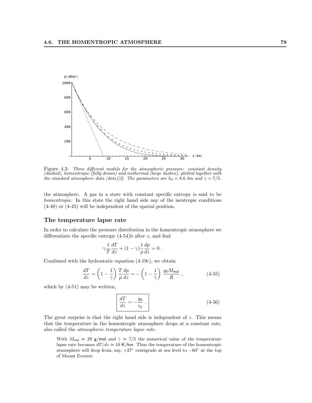

Figure 4.3: Three different models for the atmospheric pressure: constant density (dashed), homentropic (fully drawn) and isothermal (large dashes), plotted together with the standard atmosphere data (dots)[3]. The parameters are  $h_0 = 8.6$  km and  $\gamma = 7/5$ .

the atmosphere. A gas in a state with constant specific entropy is said to be homentropic. In this state the right hand side any of the isentropic conditions (4-48) or (4-45) will be independent of the spatial position.

## The temperature lapse rate

In order to calculate the pressure distribution in the homentropic atmosphere we differentiate the specific entropy  $(4-54)$ b after z, and find

$$
\gamma \frac{1}{T} \frac{dT}{dz} + (1 - \gamma) \frac{1}{p} \frac{dp}{dz} = 0.
$$

Combined with the hydrostatic equation (4-19c), we obtain

$$
\frac{dT}{dz} = \left(1 - \frac{1}{\gamma}\right) \frac{T}{p} \frac{dp}{dz} = -\left(1 - \frac{1}{\gamma}\right) \frac{g_0 M_{\text{mol}}}{R} ,\qquad (4-55)
$$

which by (4-51) may be written,

$$
\frac{dT}{dz} = -\frac{g_0}{c_p} \tag{4-56}
$$

The great surprise is that the right hand side is independent of  $z$ . This means that the temperature in the homentropic atmosphere drops at a constant rate, also called the atmospheric temperature lapse rate.

With  $M_{\text{mol}} \approx 29$  g/mol and  $\gamma \approx 7/5$  the numerical value of the temperature lapse rate becomes  $dT/dz \approx 10$  K/km. Thus the temperature of the homentropic atmosphere will drop from, say,  $+27^{\circ}$  centigrade at sea level to  $-60^{\circ}$  at the top of Mount Everest.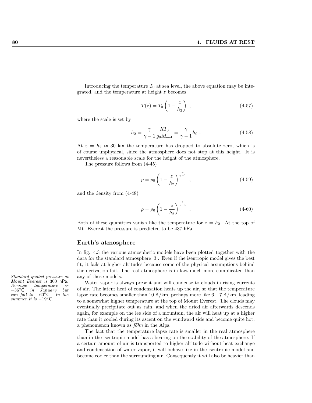Introducing the temperature  $T_0$  at sea level, the above equation may be integrated, and the temperature at height z becomes

$$
T(z) = T_0 \left( 1 - \frac{z}{h_2} \right) , \qquad (4-57)
$$

where the scale is set by

$$
h_2 = \frac{\gamma}{\gamma - 1} \frac{RT_0}{g_0 M_{\text{mol}}} = \frac{\gamma}{\gamma - 1} h_0 \ . \tag{4-58}
$$

At  $z = h_2 \approx 30$  km the temperature has dropped to absolute zero, which is of course unphysical, since the atmosphere does not stop at this height. It is nevertheless a reasonable scale for the height of the atmosphere.

The pressure follows from (4-45)

$$
p = p_0 \left( 1 - \frac{z}{h_2} \right)^{\frac{\gamma}{\gamma - 1}}, \tag{4-59}
$$

and the density from (4-48)

$$
\rho = \rho_0 \left( 1 - \frac{z}{h_2} \right)^{\frac{1}{\gamma - 1}} . \tag{4-60}
$$

Both of these quantities vanish like the temperature for  $z = h_2$ . At the top of Mt. Everest the pressure is predicted to be 437 hPa.

### Earth's atmosphere

In fig. 4.3 the various atmospheric models have been plotted together with the data for the standard atmosphere [3]. Even if the isentropic model gives the best fit, it fails at higher altitudes because some of the physical assumptions behind the derivation fail. The real atmosphere is in fact much more complicated than

Water vapor is always present and will condense to clouds in rising currents of air. The latent heat of condensation heats up the air, so that the temperature lapse rate becomes smaller than 10 K/km, perhaps more like 6−7 K/km, leading to a somewhat higher temperature at the top of Mount Everest. The clouds may eventually precipitate out as rain, and when the dried air afterwards descends again, for example on the lee side of a mountain, the air will heat up at a higher rate than it cooled during its ascent on the windward side and become quite hot, a phenomenon known as  $f\ddot{o}hn$  in the Alps.

The fact that the temperature lapse rate is smaller in the real atmosphere than in the isentropic model has a bearing on the stability of the atmosphere. If a certain amount of air is transported to higher altitude without heat exchange and condensation of water vapor, it will behave like in the isentropic model and become cooler than the surrounding air. Consequently it will also be heavier than

Standard quoted pressure at any of these models. Mount Everest is 300 hPa. Average temperature is<br>-36°C in January but −36◦C in January but can fall to  $-60^\circ$ C. In the summer it is  $-19^\circ$ C.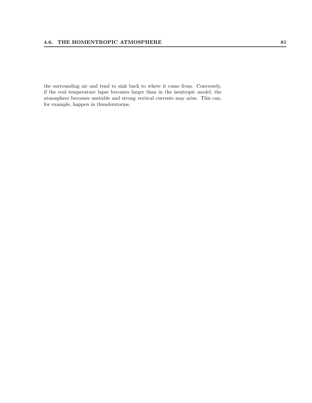the surrounding air and tend to sink back to where it came from. Conversely, if the real temperature lapse becomes larger than in the isentropic model, the atmosphere becomes unstable and strong vertical currents may arise. This can, for example, happen in thunderstorms.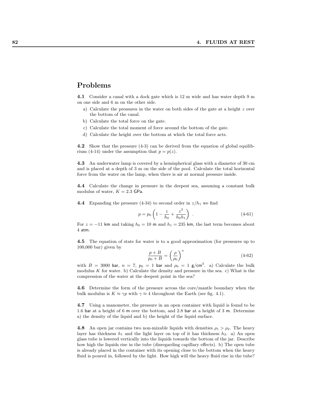# Problems

4.1 Consider a canal with a dock gate which is 12 m wide and has water depth 9 m on one side and 6 m on the other side.

- a) Calculate the pressures in the water on both sides of the gate at a height z over the bottom of the canal.
- b) Calculate the total force on the gate.
- c) Calculate the total moment of force around the bottom of the gate.
- d) Calculate the height over the bottom at which the total force acts.

4.2 Show that the pressure (4-3) can be derived from the equation of global equilibrium (4-14) under the assumption that  $p = p(z)$ .

4.3 An underwater lamp is covered by a hemispherical glass with a diameter of 30 cm and is placed at a depth of 3 m on the side of the pool. Calculate the total horizontal force from the water on the lamp, when there is air at normal pressure inside.

4.4 Calculate the change in pressure in the deepest sea, assuming a constant bulk modulus of water,  $K = 2.3$  GPa.

**4.4** Expanding the pressure (4-34) to second order in  $z/h_1$  we find

$$
p = p_0 \left( 1 - \frac{z}{h_0} + \frac{z^2}{h_0 h_1} \right) . \tag{4-61}
$$

For  $z = -11$  km and taking  $h_0 = 10$  m and  $h_1 = 235$  km, the last term becomes about 4 atm.

4.5 The equation of state for water is to a good approximation (for pressures up to 100,000 bar) given by

$$
\frac{p+B}{p_0+B} = \left(\frac{\rho}{\rho_0}\right)^n \tag{4-62}
$$

with  $B = 3000$  bar,  $n = 7$ ,  $p_0 = 1$  bar and  $\rho_0 = 1$  g/cm<sup>3</sup>. a) Calculate the bulk modulus  $K$  for water. b) Calculate the density and pressure in the sea. c) What is the compression of the water at the deepest point in the sea?

4.6 Determine the form of the pressure across the core/mantle boundary when the bulk modulus is  $K \approx \gamma p$  with  $\gamma \approx 4$  throughout the Earth (see fig. 4.1).

4.7 Using a manometer, the pressure in an open container with liquid is found to be 1.6 bar at a height of 6 m over the bottom, and 2.8 bar at a height of 3 m. Determine a) the density of the liquid and b) the height of the liquid surface.

4.8 An open jar contains two non-mixable liquids with densities  $\rho_1 > \rho_2$ . The heavy layer has thickness  $h_1$  and the light layer on top of it has thickness  $h_2$ . a) An open glass tube is lowered vertically into the liquids towards the bottom of the jar. Describe how high the liquids rise in the tube (disregarding capillary effects). b) The open tube is already placed in the container with its opening close to the bottom when the heavy fluid is poured in, followed by the light. How high will the heavy fluid rise in the tube?